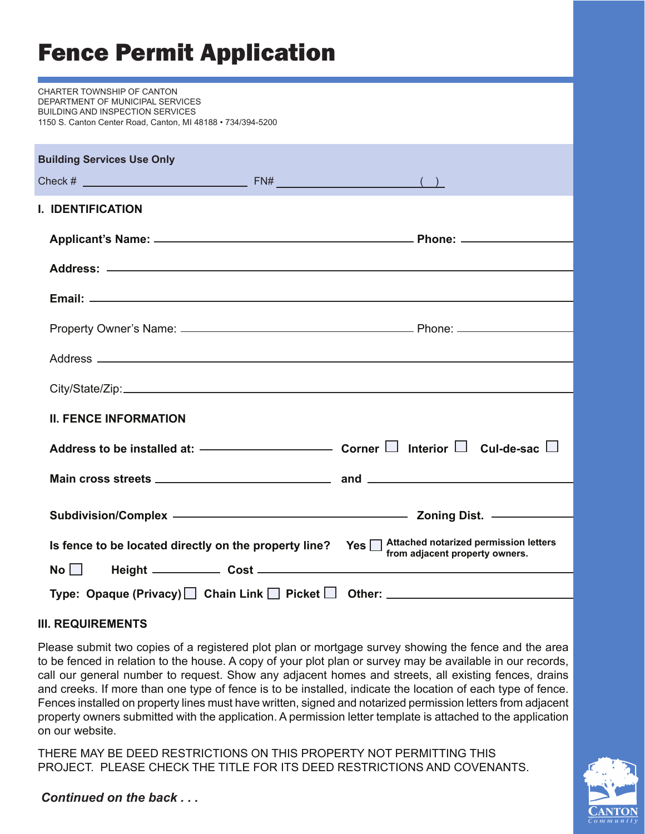# Fence Permit Application

CHARTER TOWNSHIP OF CANTON DEPARTMENT OF MUNICIPAL SERVICES BUILDING AND INSPECTION SERVICES 1150 S. Canton Center Road, Canton, MI 48188 • 734/394-5200

| <b>Building Services Use Only</b>                     |                                                                                                                                                                                                                                |
|-------------------------------------------------------|--------------------------------------------------------------------------------------------------------------------------------------------------------------------------------------------------------------------------------|
|                                                       |                                                                                                                                                                                                                                |
| <b>I. IDENTIFICATION</b>                              |                                                                                                                                                                                                                                |
|                                                       |                                                                                                                                                                                                                                |
|                                                       |                                                                                                                                                                                                                                |
|                                                       |                                                                                                                                                                                                                                |
|                                                       |                                                                                                                                                                                                                                |
|                                                       |                                                                                                                                                                                                                                |
|                                                       |                                                                                                                                                                                                                                |
|                                                       |                                                                                                                                                                                                                                |
| <b>II. FENCE INFORMATION</b>                          |                                                                                                                                                                                                                                |
|                                                       | Address to be installed at: $\qquad \qquad \qquad \qquad \qquad \qquad \qquad$ Corner $\Box$ Interior $\Box$ Cul-de-sac $\Box$                                                                                                 |
|                                                       |                                                                                                                                                                                                                                |
|                                                       | Subdivision/Complex – Content Complex – Content Communication of the Content Communication of the Content Communication of the Communication of the Communication of the Communication of the Communication of the Communicati |
|                                                       |                                                                                                                                                                                                                                |
| Is fence to be located directly on the property line? | Yes Attached notarized permission letters<br>from adjacent property owners.                                                                                                                                                    |
| $\mathsf{No} \Box$                                    |                                                                                                                                                                                                                                |
|                                                       | Type: Opaque (Privacy) □ Chain Link □ Picket □ Other: __________________________                                                                                                                                               |

#### **III. REQUIREMENTS**

Please submit two copies of a registered plot plan or mortgage survey showing the fence and the area to be fenced in relation to the house. A copy of your plot plan or survey may be available in our records, call our general number to request. Show any adjacent homes and streets, all existing fences, drains and creeks. If more than one type of fence is to be installed, indicate the location of each type of fence. Fences installed on property lines must have written, signed and notarized permission letters from adjacent property owners submitted with the application. A permission letter template is attached to the application on our website.

THERE MAY BE DEED RESTRICTIONS ON THIS PROPERTY NOT PERMITTING THIS PROJECT. PLEASE CHECK THE TITLE FOR ITS DEED RESTRICTIONS AND COVENANTS.



*Continued on the back . . .*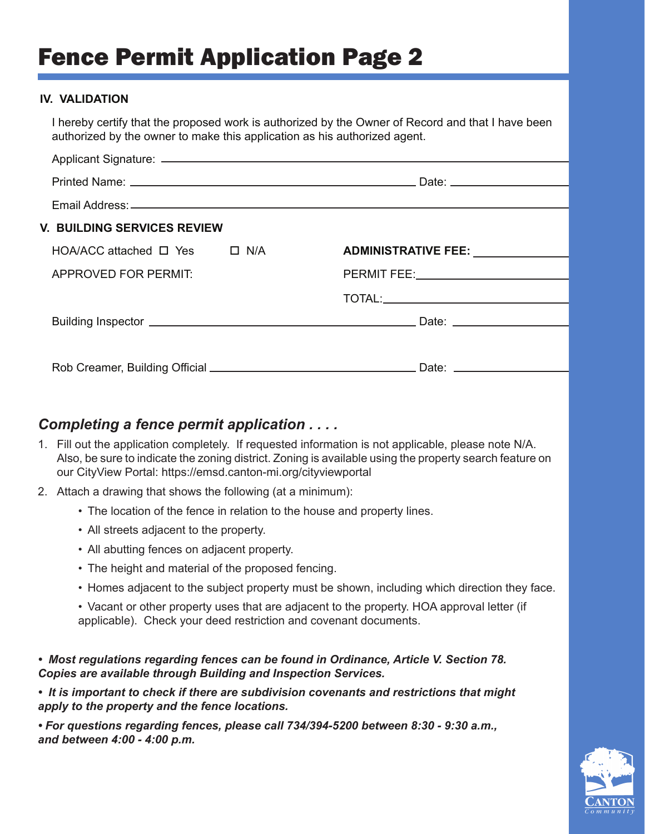## Fence Permit Application Page 2

#### **IV. VALIDATION**

 I hereby certify that the proposed work is authorized by the Owner of Record and that I have been authorized by the owner to make this application as his authorized agent.

| <b>V. BUILDING SERVICES REVIEW</b>       |  |                                     |  |
|------------------------------------------|--|-------------------------------------|--|
| $HOA/ACC$ attached $\Box$ Yes $\Box$ N/A |  | ADMINISTRATIVE FEE: _______________ |  |
| APPROVED FOR PERMIT:                     |  |                                     |  |
|                                          |  |                                     |  |
|                                          |  |                                     |  |
|                                          |  |                                     |  |
|                                          |  |                                     |  |
|                                          |  |                                     |  |

### *Completing a fence permit application . . . .*

- 1. Fill out the application completely. If requested information is not applicable, please note N/A. Also, be sure to indicate the zoning district. Zoning is available using the property search feature on our CityView Portal: https://emsd.canton-mi.org/cityviewportal
- 2. Attach a drawing that shows the following (at a minimum):
	- The location of the fence in relation to the house and property lines.
	- All streets adjacent to the property.
	- All abutting fences on adjacent property.
	- The height and material of the proposed fencing.
	- Homes adjacent to the subject property must be shown, including which direction they face.
	- Vacant or other property uses that are adjacent to the property. HOA approval letter (if applicable). Check your deed restriction and covenant documents.

*• Most regulations regarding fences can be found in Ordinance, Article V. Section 78. Copies are available through Building and Inspection Services.*

*• It is important to check if there are subdivision covenants and restrictions that might apply to the property and the fence locations.*

*• For questions regarding fences, please call 734/394-5200 between 8:30 - 9:30 a.m., and between 4:00 - 4:00 p.m.*